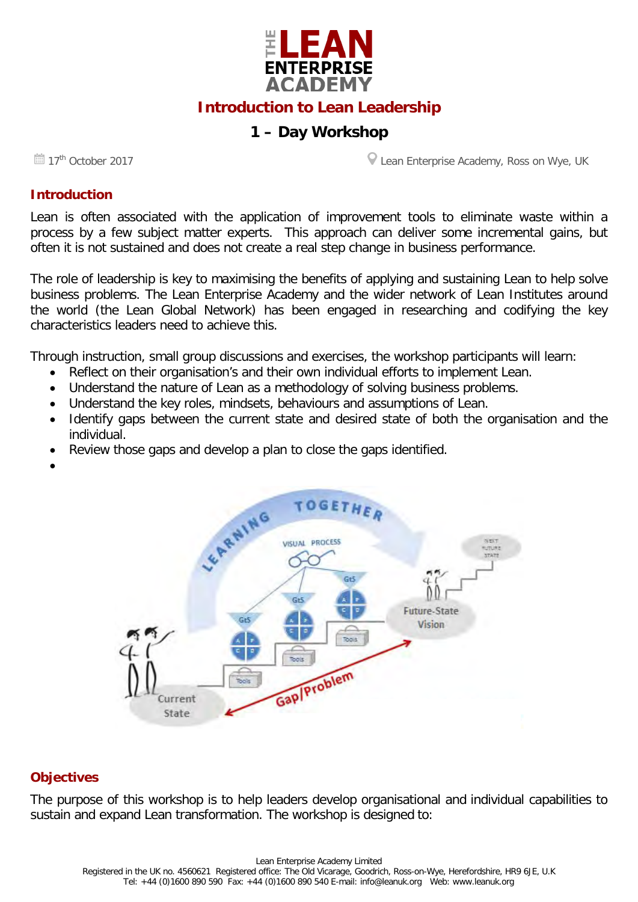

## **Introduction to Lean Leadership**

# **1 – Day Workshop**

**17<sup>th</sup>** October 2017 **Lean Enterprise Academy, Ross on Wye, UK** 

#### **Introduction**

Lean is often associated with the application of improvement tools to eliminate waste within a process by a few subject matter experts. This approach can deliver some incremental gains, but often it is not sustained and does not create a real step change in business performance.

The role of leadership is key to maximising the benefits of applying and sustaining Lean to help solve business problems. The Lean Enterprise Academy and the wider network of Lean Institutes around the world (the Lean Global Network) has been engaged in researching and codifying the key characteristics leaders need to achieve this.

Through instruction, small group discussions and exercises, the workshop participants will learn:

- Reflect on their organisation's and their own individual efforts to implement Lean.
- Understand the nature of Lean as a methodology of solving business problems.
- Understand the key roles, mindsets, behaviours and assumptions of Lean.
- Identify gaps between the current state and desired state of both the organisation and the individual.
- Review those gaps and develop a plan to close the gaps identified.
- •



#### **Objectives**

The purpose of this workshop is to help leaders develop organisational and individual capabilities to sustain and expand Lean transformation. The workshop is designed to: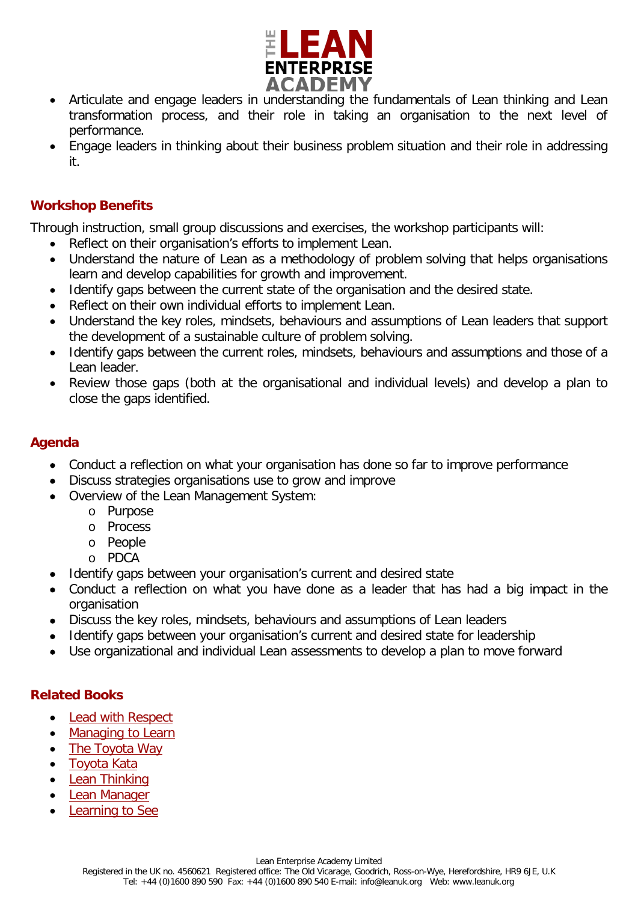

- Articulate and engage leaders in understanding the fundamentals of Lean thinking and Lean transformation process, and their role in taking an organisation to the next level of performance.
- Engage leaders in thinking about their business problem situation and their role in addressing it.

#### **Workshop Benefits**

Through instruction, small group discussions and exercises, the workshop participants will:

- Reflect on their organisation's efforts to implement Lean.
- Understand the nature of Lean as a methodology of problem solving that helps organisations learn and develop capabilities for growth and improvement.
- Identify gaps between the current state of the organisation and the desired state.
- Reflect on their own individual efforts to implement Lean.
- Understand the key roles, mindsets, behaviours and assumptions of Lean leaders that support the development of a sustainable culture of problem solving.
- Identify gaps between the current roles, mindsets, behaviours and assumptions and those of a Lean leader.
- Review those gaps (both at the organisational and individual levels) and develop a plan to close the gaps identified.

#### **Agenda**

- Conduct a reflection on what your organisation has done so far to improve performance
- Discuss strategies organisations use to grow and improve
- Overview of the Lean Management System:
	- o Purpose
	- o Process
	- o People
	- o PDCA
- Identify gaps between your organisation's current and desired state
- Conduct a reflection on what you have done as a leader that has had a big impact in the organisation
- Discuss the key roles, mindsets, behaviours and assumptions of Lean leaders
- Identify gaps between your organisation's current and desired state for leadership
- Use organizational and individual Lean assessments to develop a plan to move forward

#### **Related Books**

- [Lead with Respect](http://www.leanuk.org/shop/all-lean-book-shop-lean-enterprise-academy/lead-with-respect)
- [Managing to Learn](http://www.leanuk.org/shop/all-lean-book-shop-lean-enterprise-academy/managing-to-learn)
- [The Toyota Way](http://www.leanuk.org/shop/all-lean-book-shop-lean-enterprise-academy/the-toyota-way)
- [Toyota Kata](http://www.leanuk.org/shop/all-lean-book-shop-lean-enterprise-academy/toyota-kata)
- [Lean Thinking](http://www.leanuk.org/shop/all-lean-book-shop-lean-enterprise-academy/lean-thinking)
- [Lean Manager](http://www.leanuk.org/shop/all-lean-book-shop-lean-enterprise-academy/the-lean-manager)
- **[Learning to See](http://www.leanuk.org/shop/all-lean-book-shop-lean-enterprise-academy/learning-to-see)**